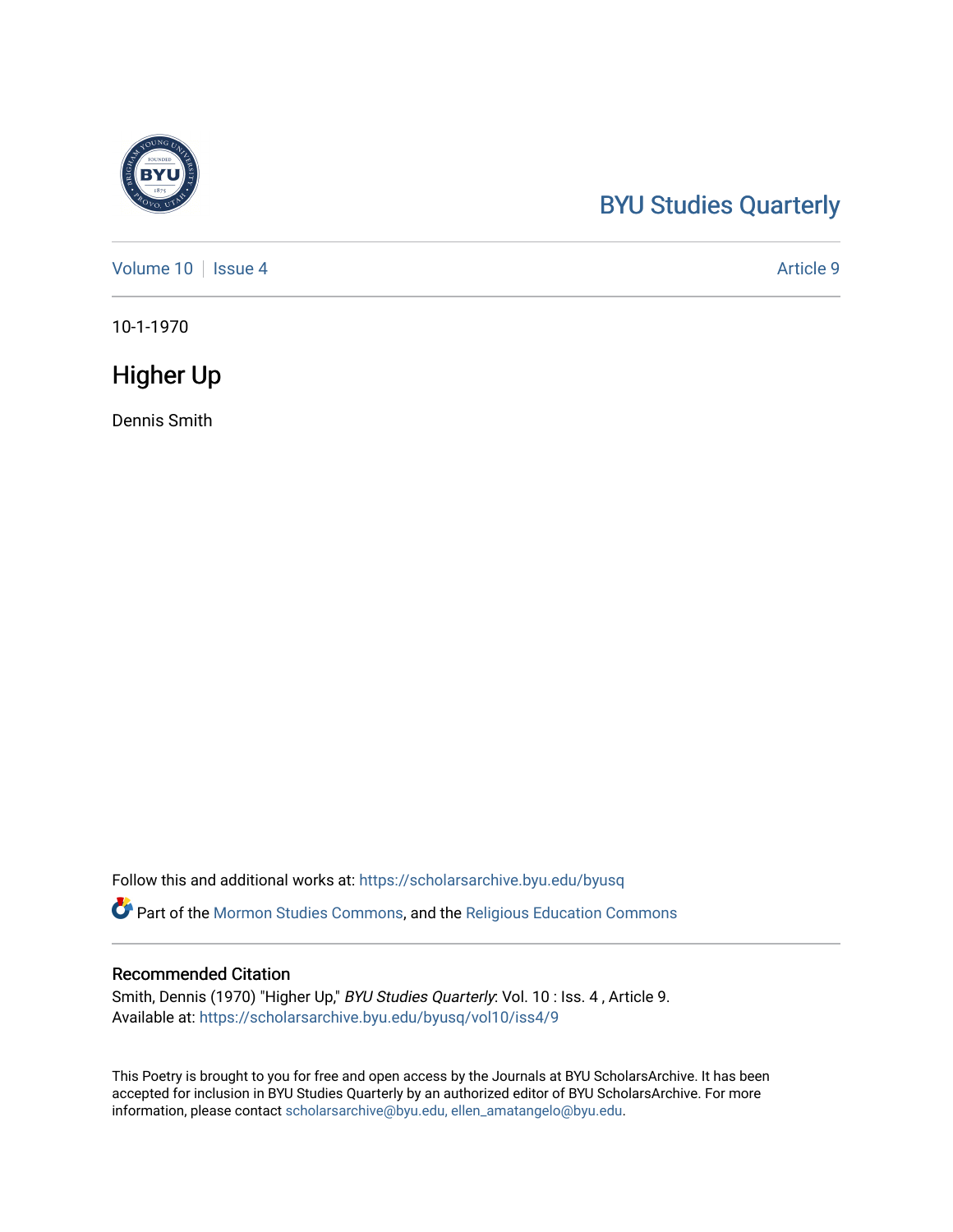## [BYU Studies Quarterly](https://scholarsarchive.byu.edu/byusq)

[Volume 10](https://scholarsarchive.byu.edu/byusq/vol10) | [Issue 4](https://scholarsarchive.byu.edu/byusq/vol10/iss4) Article 9

10-1-1970

### Higher Up

Dennis Smith

Follow this and additional works at: [https://scholarsarchive.byu.edu/byusq](https://scholarsarchive.byu.edu/byusq?utm_source=scholarsarchive.byu.edu%2Fbyusq%2Fvol10%2Fiss4%2F9&utm_medium=PDF&utm_campaign=PDFCoverPages) 

Part of the [Mormon Studies Commons](http://network.bepress.com/hgg/discipline/1360?utm_source=scholarsarchive.byu.edu%2Fbyusq%2Fvol10%2Fiss4%2F9&utm_medium=PDF&utm_campaign=PDFCoverPages), and the [Religious Education Commons](http://network.bepress.com/hgg/discipline/1414?utm_source=scholarsarchive.byu.edu%2Fbyusq%2Fvol10%2Fiss4%2F9&utm_medium=PDF&utm_campaign=PDFCoverPages) 

#### Recommended Citation

Smith, Dennis (1970) "Higher Up," BYU Studies Quarterly: Vol. 10 : Iss. 4 , Article 9. Available at: [https://scholarsarchive.byu.edu/byusq/vol10/iss4/9](https://scholarsarchive.byu.edu/byusq/vol10/iss4/9?utm_source=scholarsarchive.byu.edu%2Fbyusq%2Fvol10%2Fiss4%2F9&utm_medium=PDF&utm_campaign=PDFCoverPages)

This Poetry is brought to you for free and open access by the Journals at BYU ScholarsArchive. It has been accepted for inclusion in BYU Studies Quarterly by an authorized editor of BYU ScholarsArchive. For more information, please contact [scholarsarchive@byu.edu, ellen\\_amatangelo@byu.edu.](mailto:scholarsarchive@byu.edu,%20ellen_amatangelo@byu.edu)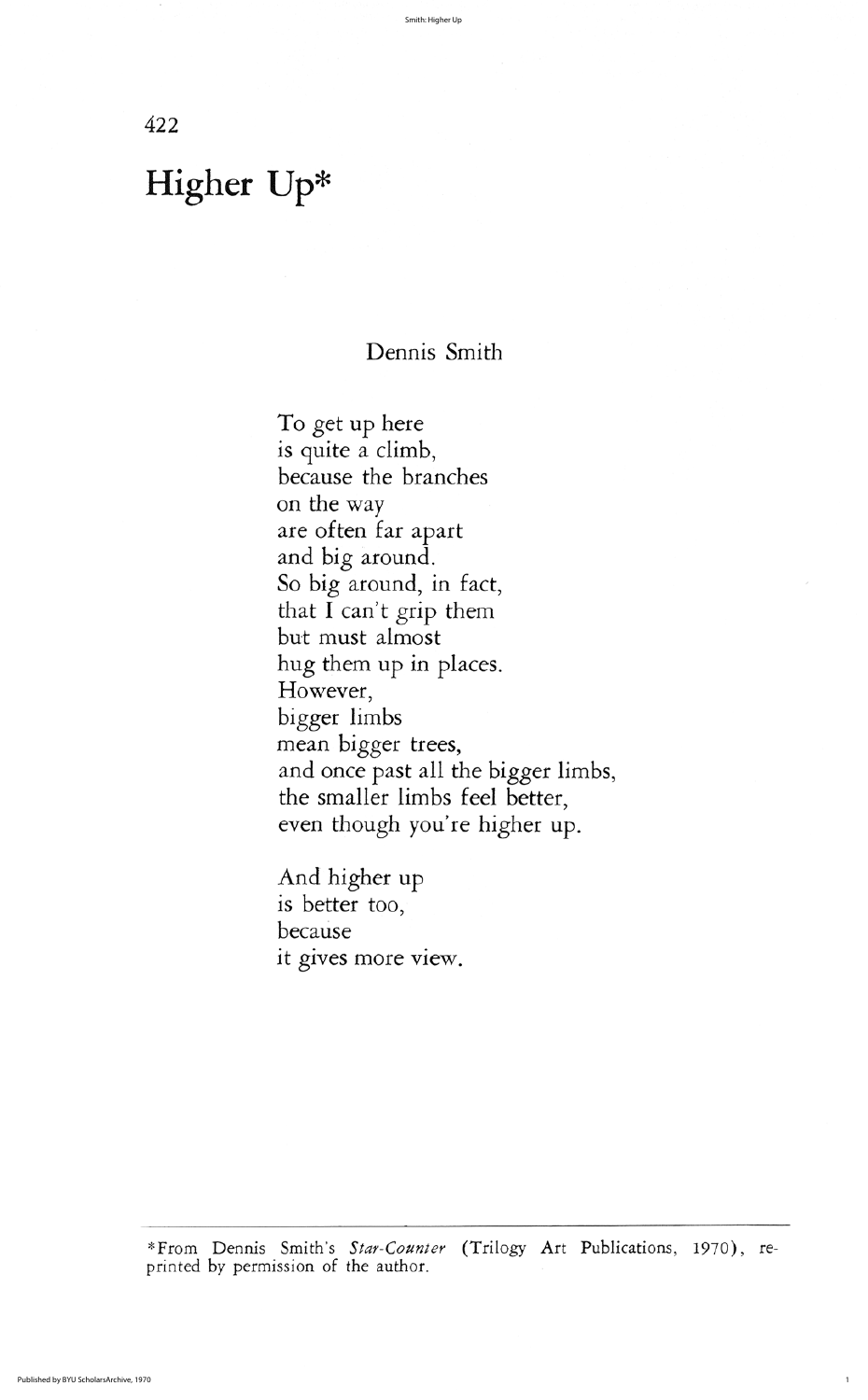422

# Dennis Smith

To get up here is quite a climb because the branches on the way are often far apart and big around So big around, in fact, that I can't grip them but must almost hug them up in places However, bigger limbs mean bigger trees and once past all the bigger limbs the smaller limbs feel better even though you're higher up.

And higher up is better too because it gives more view

\*From Dennis Smith's Star-Counter (Trilogy Art Publications, 1970), reprinted by permission of the author

# Higher Up\*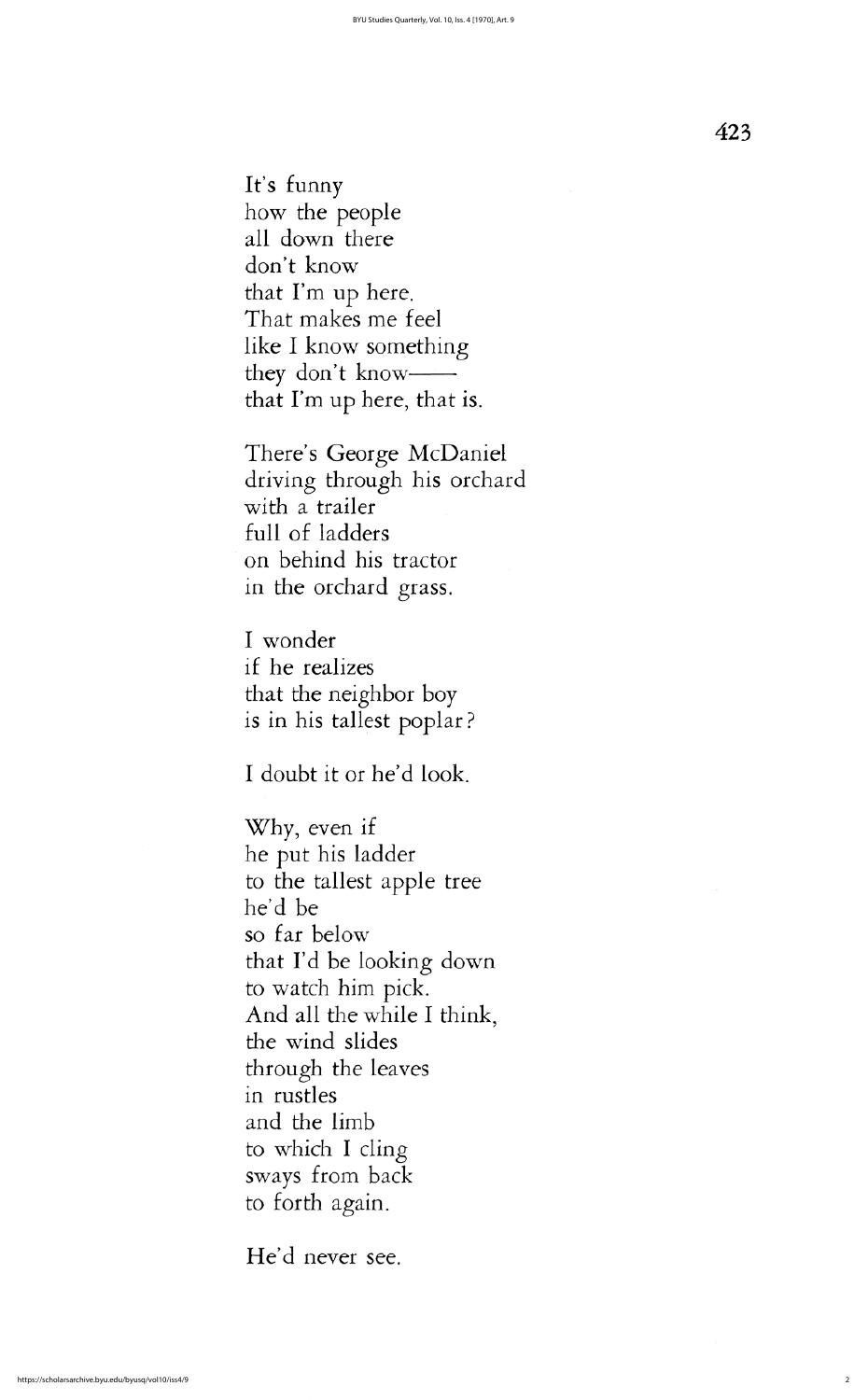23

I doubt it or he'd look.

There's George McDaniel driving through his orchard with a trailer full of ladders on behind his tractor in the orchard grass

I wonder if he realizes that the neighbor boy is in his tallest poplar?

Why, even if he put his ladder to the tallest apple tree he'd be so far below that I'd be looking down to watch him pick And all the while I think, the wind slides through the leaves in rustles and the limb to which I cling sways from back to forth again

He'd never see.

It's funny how the people all down there don't know that  $\Gamma$ m up here. That makes me feel like I know something they don't know— that I'm up here, that is.